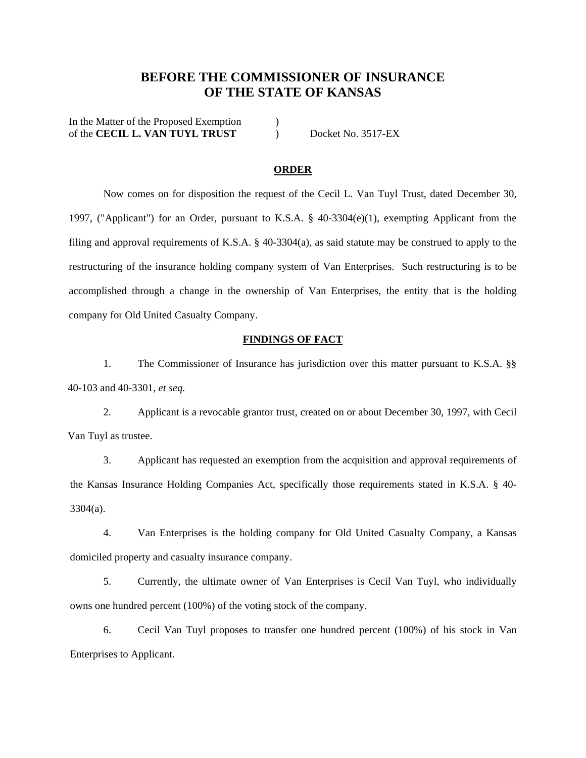# **BEFORE THE COMMISSIONER OF INSURANCE OF THE STATE OF KANSAS**

In the Matter of the Proposed Exemption ) of the **CECIL L. VAN TUYL TRUST** ) Docket No. 3517-EX

#### **ORDER**

Now comes on for disposition the request of the Cecil L. Van Tuyl Trust, dated December 30, 1997, ("Applicant") for an Order, pursuant to K.S.A. § 40-3304(e)(1), exempting Applicant from the filing and approval requirements of K.S.A. § 40-3304(a), as said statute may be construed to apply to the restructuring of the insurance holding company system of Van Enterprises. Such restructuring is to be accomplished through a change in the ownership of Van Enterprises, the entity that is the holding company for Old United Casualty Company.

#### **FINDINGS OF FACT**

1. The Commissioner of Insurance has jurisdiction over this matter pursuant to K.S.A. §§ 40-103 and 40-3301, *et seq.*

2. Applicant is a revocable grantor trust, created on or about December 30, 1997, with Cecil Van Tuyl as trustee.

3. Applicant has requested an exemption from the acquisition and approval requirements of the Kansas Insurance Holding Companies Act, specifically those requirements stated in K.S.A. § 40- 3304(a).

4. Van Enterprises is the holding company for Old United Casualty Company, a Kansas domiciled property and casualty insurance company.

5. Currently, the ultimate owner of Van Enterprises is Cecil Van Tuyl, who individually owns one hundred percent (100%) of the voting stock of the company.

6. Cecil Van Tuyl proposes to transfer one hundred percent (100%) of his stock in Van Enterprises to Applicant.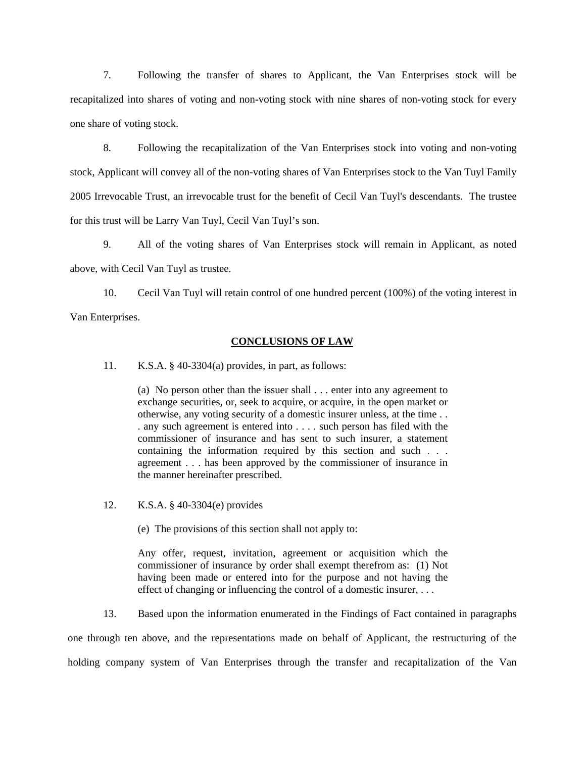7. Following the transfer of shares to Applicant, the Van Enterprises stock will be recapitalized into shares of voting and non-voting stock with nine shares of non-voting stock for every one share of voting stock.

8. Following the recapitalization of the Van Enterprises stock into voting and non-voting stock, Applicant will convey all of the non-voting shares of Van Enterprises stock to the Van Tuyl Family 2005 Irrevocable Trust, an irrevocable trust for the benefit of Cecil Van Tuyl's descendants. The trustee for this trust will be Larry Van Tuyl, Cecil Van Tuyl's son.

9. All of the voting shares of Van Enterprises stock will remain in Applicant, as noted above, with Cecil Van Tuyl as trustee.

10. Cecil Van Tuyl will retain control of one hundred percent (100%) of the voting interest in Van Enterprises.

#### **CONCLUSIONS OF LAW**

11. K.S.A. § 40-3304(a) provides, in part, as follows:

(a) No person other than the issuer shall . . . enter into any agreement to exchange securities, or, seek to acquire, or acquire, in the open market or otherwise, any voting security of a domestic insurer unless, at the time . . . any such agreement is entered into . . . . such person has filed with the commissioner of insurance and has sent to such insurer, a statement containing the information required by this section and such . . . agreement . . . has been approved by the commissioner of insurance in the manner hereinafter prescribed.

12. K.S.A. § 40-3304(e) provides

(e) The provisions of this section shall not apply to:

Any offer, request, invitation, agreement or acquisition which the commissioner of insurance by order shall exempt therefrom as: (1) Not having been made or entered into for the purpose and not having the effect of changing or influencing the control of a domestic insurer, . . .

13. Based upon the information enumerated in the Findings of Fact contained in paragraphs one through ten above, and the representations made on behalf of Applicant, the restructuring of the holding company system of Van Enterprises through the transfer and recapitalization of the Van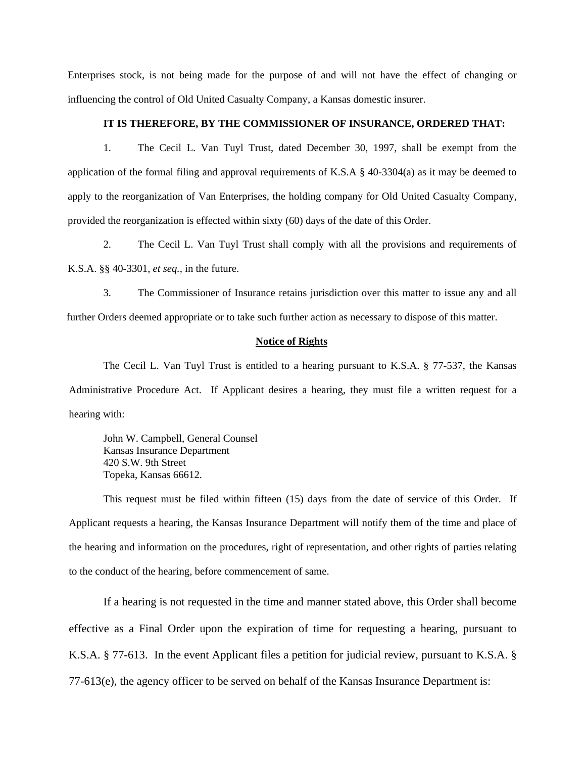Enterprises stock, is not being made for the purpose of and will not have the effect of changing or influencing the control of Old United Casualty Company, a Kansas domestic insurer.

### **IT IS THEREFORE, BY THE COMMISSIONER OF INSURANCE, ORDERED THAT:**

1. The Cecil L. Van Tuyl Trust, dated December 30, 1997, shall be exempt from the application of the formal filing and approval requirements of K.S.A  $\S$  40-3304(a) as it may be deemed to apply to the reorganization of Van Enterprises, the holding company for Old United Casualty Company, provided the reorganization is effected within sixty (60) days of the date of this Order.

2. The Cecil L. Van Tuyl Trust shall comply with all the provisions and requirements of K.S.A. §§ 40-3301, *et seq.,* in the future.

3. The Commissioner of Insurance retains jurisdiction over this matter to issue any and all further Orders deemed appropriate or to take such further action as necessary to dispose of this matter.

### **Notice of Rights**

 The Cecil L. Van Tuyl Trust is entitled to a hearing pursuant to K.S.A. § 77-537, the Kansas Administrative Procedure Act. If Applicant desires a hearing, they must file a written request for a hearing with:

John W. Campbell, General Counsel Kansas Insurance Department 420 S.W. 9th Street Topeka, Kansas 66612.

 This request must be filed within fifteen (15) days from the date of service of this Order. If Applicant requests a hearing, the Kansas Insurance Department will notify them of the time and place of the hearing and information on the procedures, right of representation, and other rights of parties relating to the conduct of the hearing, before commencement of same.

 If a hearing is not requested in the time and manner stated above, this Order shall become effective as a Final Order upon the expiration of time for requesting a hearing, pursuant to K.S.A. § 77-613. In the event Applicant files a petition for judicial review, pursuant to K.S.A. § 77-613(e), the agency officer to be served on behalf of the Kansas Insurance Department is: